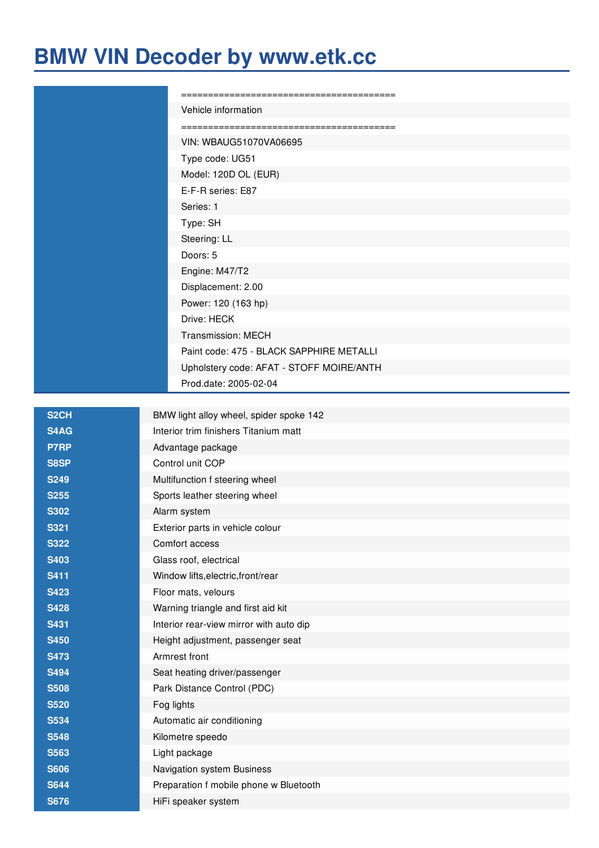## **BMW VIN Decoder by [www.etk.cc](https://www.etkbmw.com)**

| Vehicle information                      |
|------------------------------------------|
|                                          |
| VIN: WBAUG51070VA06695                   |
| Type code: UG51                          |
| Model: 120D OL (EUR)                     |
| E-F-R series: E87                        |
| Series: 1                                |
| Type: SH                                 |
| Steering: LL                             |
| Doors: 5                                 |
| Engine: M47/T2                           |
| Displacement: 2.00                       |
| Power: 120 (163 hp)                      |
| Drive: HECK                              |
| <b>Transmission: MECH</b>                |
| Paint code: 475 - BLACK SAPPHIRE METALLI |
| Upholstery code: AFAT - STOFF MOIRE/ANTH |
| Prod.date: 2005-02-04                    |
|                                          |

| S <sub>2</sub> CH | BMW light alloy wheel, spider spoke 142 |
|-------------------|-----------------------------------------|
| S4AG              | Interior trim finishers Titanium matt   |
| P7RP              | Advantage package                       |
| S8SP              | Control unit COP                        |
| <b>S249</b>       | Multifunction f steering wheel          |
| <b>S255</b>       | Sports leather steering wheel           |
| <b>S302</b>       | Alarm system                            |
| <b>S321</b>       | Exterior parts in vehicle colour        |
| <b>S322</b>       | Comfort access                          |
| <b>S403</b>       | Glass roof, electrical                  |
| <b>S411</b>       | Window lifts, electric, front/rear      |
| <b>S423</b>       | Floor mats, velours                     |
| <b>S428</b>       | Warning triangle and first aid kit      |
| <b>S431</b>       | Interior rear-view mirror with auto dip |
| <b>S450</b>       | Height adjustment, passenger seat       |
| <b>S473</b>       | Armrest front                           |
| <b>S494</b>       | Seat heating driver/passenger           |
| <b>S508</b>       | Park Distance Control (PDC)             |
| <b>S520</b>       | Fog lights                              |
| <b>S534</b>       | Automatic air conditioning              |
| <b>S548</b>       | Kilometre speedo                        |
| <b>S563</b>       | Light package                           |
| <b>S606</b>       | Navigation system Business              |
| <b>S644</b>       | Preparation f mobile phone w Bluetooth  |
| <b>S676</b>       | HiFi speaker system                     |
|                   |                                         |